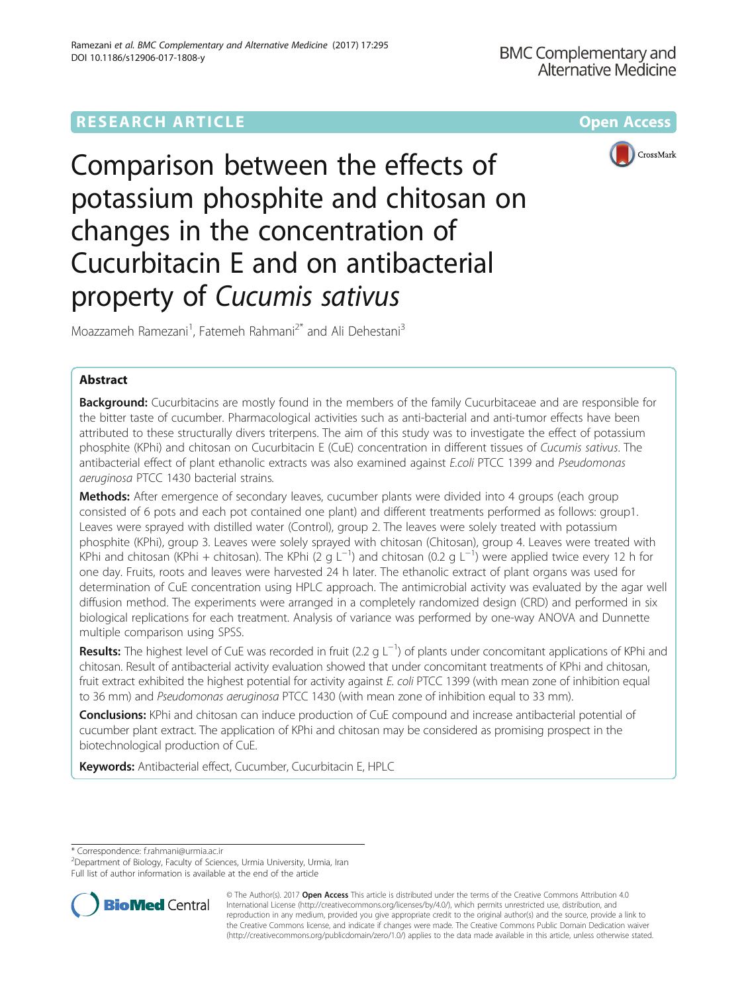# **RESEARCH ARTICLE Example 2014 12:30 The Community Community Community Community Community Community Community**



Comparison between the effects of potassium phosphite and chitosan on changes in the concentration of Cucurbitacin E and on antibacterial property of Cucumis sativus

Moazzameh Ramezani<sup>1</sup>, Fatemeh Rahmani<sup>2\*</sup> and Ali Dehestani<sup>3</sup>

## Abstract

**Background:** Cucurbitacins are mostly found in the members of the family Cucurbitaceae and are responsible for the bitter taste of cucumber. Pharmacological activities such as anti-bacterial and anti-tumor effects have been attributed to these structurally divers triterpens. The aim of this study was to investigate the effect of potassium phosphite (KPhi) and chitosan on Cucurbitacin E (CuE) concentration in different tissues of Cucumis sativus. The antibacterial effect of plant ethanolic extracts was also examined against E.coli PTCC 1399 and Pseudomonas aeruginosa PTCC 1430 bacterial strains.

**Methods:** After emergence of secondary leaves, cucumber plants were divided into 4 groups (each group consisted of 6 pots and each pot contained one plant) and different treatments performed as follows: group1. Leaves were sprayed with distilled water (Control), group 2. The leaves were solely treated with potassium phosphite (KPhi), group 3. Leaves were solely sprayed with chitosan (Chitosan), group 4. Leaves were treated with .<br>KPhi and chitosan (KPhi + chitosan). The KPhi (2 g L<sup>−1</sup>) and chitosan (0.2 g L<sup>−1</sup>) were applied twice every 12 h for one day. Fruits, roots and leaves were harvested 24 h later. The ethanolic extract of plant organs was used for determination of CuE concentration using HPLC approach. The antimicrobial activity was evaluated by the agar well diffusion method. The experiments were arranged in a completely randomized design (CRD) and performed in six biological replications for each treatment. Analysis of variance was performed by one-way ANOVA and Dunnette multiple comparison using SPSS.

Results: The highest level of CuE was recorded in fruit (2.2 g L<sup>-1</sup>) of plants under concomitant applications of KPhi and chitosan. Result of antibacterial activity evaluation showed that under concomitant treatments of KPhi and chitosan, fruit extract exhibited the highest potential for activity against E. coli PTCC 1399 (with mean zone of inhibition equal to 36 mm) and Pseudomonas aeruginosa PTCC 1430 (with mean zone of inhibition equal to 33 mm).

**Conclusions:** KPhi and chitosan can induce production of CuE compound and increase antibacterial potential of cucumber plant extract. The application of KPhi and chitosan may be considered as promising prospect in the biotechnological production of CuE.

Keywords: Antibacterial effect, Cucumber, Cucurbitacin E, HPLC

\* Correspondence: [f.rahmani@urmia.ac.ir](mailto:f.rahmani@urmia.ac.ir) <sup>2</sup>

<sup>&</sup>lt;sup>2</sup> Department of Biology, Faculty of Sciences, Urmia University, Urmia, Iran Full list of author information is available at the end of the article



© The Author(s). 2017 **Open Access** This article is distributed under the terms of the Creative Commons Attribution 4.0 International License [\(http://creativecommons.org/licenses/by/4.0/](http://creativecommons.org/licenses/by/4.0/)), which permits unrestricted use, distribution, and reproduction in any medium, provided you give appropriate credit to the original author(s) and the source, provide a link to the Creative Commons license, and indicate if changes were made. The Creative Commons Public Domain Dedication waiver [\(http://creativecommons.org/publicdomain/zero/1.0/](http://creativecommons.org/publicdomain/zero/1.0/)) applies to the data made available in this article, unless otherwise stated.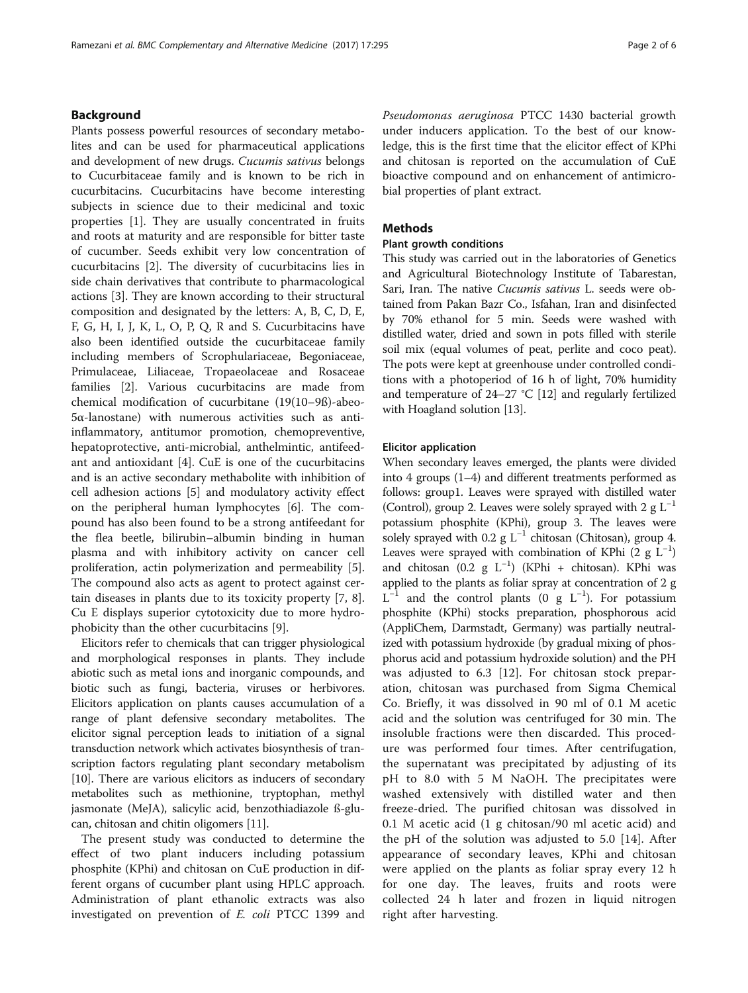Plants possess powerful resources of secondary metabolites and can be used for pharmaceutical applications and development of new drugs. Cucumis sativus belongs to Cucurbitaceae family and is known to be rich in cucurbitacins. Cucurbitacins have become interesting subjects in science due to their medicinal and toxic properties [\[1](#page-4-0)]. They are usually concentrated in fruits and roots at maturity and are responsible for bitter taste of cucumber. Seeds exhibit very low concentration of cucurbitacins [[2\]](#page-4-0). The diversity of cucurbitacins lies in side chain derivatives that contribute to pharmacological actions [[3\]](#page-4-0). They are known according to their structural composition and designated by the letters: A, B, C, D, E, F, G, H, I, J, K, L, O, P, Q, R and S. Cucurbitacins have also been identified outside the cucurbitaceae family including members of Scrophulariaceae, Begoniaceae, Primulaceae, Liliaceae, Tropaeolaceae and Rosaceae families [\[2](#page-4-0)]. Various cucurbitacins are made from chemical modification of cucurbitane (19(10–9ß)-abeo-5α-lanostane) with numerous activities such as antiinflammatory, antitumor promotion, chemopreventive, hepatoprotective, anti-microbial, anthelmintic, antifeedant and antioxidant [[4\]](#page-4-0). CuE is one of the cucurbitacins and is an active secondary methabolite with inhibition of cell adhesion actions [[5\]](#page-4-0) and modulatory activity effect on the peripheral human lymphocytes [[6\]](#page-4-0). The compound has also been found to be a strong antifeedant for the flea beetle, bilirubin–albumin binding in human plasma and with inhibitory activity on cancer cell proliferation, actin polymerization and permeability [\[5](#page-4-0)]. The compound also acts as agent to protect against certain diseases in plants due to its toxicity property [[7, 8](#page-4-0)]. Cu E displays superior cytotoxicity due to more hydrophobicity than the other cucurbitacins [[9\]](#page-4-0).

Elicitors refer to chemicals that can trigger physiological and morphological responses in plants. They include abiotic such as metal ions and inorganic compounds, and biotic such as fungi, bacteria, viruses or herbivores. Elicitors application on plants causes accumulation of a range of plant defensive secondary metabolites. The elicitor signal perception leads to initiation of a signal transduction network which activates biosynthesis of transcription factors regulating plant secondary metabolism [[10](#page-4-0)]. There are various elicitors as inducers of secondary metabolites such as methionine, tryptophan, methyl jasmonate (MeJA), salicylic acid, benzothiadiazole ß-glucan, chitosan and chitin oligomers [\[11\]](#page-4-0).

The present study was conducted to determine the effect of two plant inducers including potassium phosphite (KPhi) and chitosan on CuE production in different organs of cucumber plant using HPLC approach. Administration of plant ethanolic extracts was also investigated on prevention of E. coli PTCC 1399 and Pseudomonas aeruginosa PTCC 1430 bacterial growth under inducers application. To the best of our knowledge, this is the first time that the elicitor effect of KPhi and chitosan is reported on the accumulation of CuE bioactive compound and on enhancement of antimicrobial properties of plant extract.

### **Methods**

### Plant growth conditions

This study was carried out in the laboratories of Genetics and Agricultural Biotechnology Institute of Tabarestan, Sari, Iran. The native Cucumis sativus L. seeds were obtained from Pakan Bazr Co., Isfahan, Iran and disinfected by 70% ethanol for 5 min. Seeds were washed with distilled water, dried and sown in pots filled with sterile soil mix (equal volumes of peat, perlite and coco peat). The pots were kept at greenhouse under controlled conditions with a photoperiod of 16 h of light, 70% humidity and temperature of 24–27 °C [\[12\]](#page-4-0) and regularly fertilized with Hoagland solution [\[13\]](#page-4-0).

### Elicitor application

When secondary leaves emerged, the plants were divided into 4 groups (1–4) and different treatments performed as follows: group1. Leaves were sprayed with distilled water (Control), group 2. Leaves were solely sprayed with 2 g  $L^{-1}$ potassium phosphite (KPhi), group 3. The leaves were solely sprayed with 0.2 g  $L^{-1}$  chitosan (Chitosan), group 4. Leaves were sprayed with combination of KPhi (2  $g L^{-1}$ ) and chitosan (0.2 g L−<sup>1</sup> ) (KPhi + chitosan). KPhi was applied to the plants as foliar spray at concentration of 2 g  $L^{-1}$  and the control plants (0 g L<sup>-1</sup>). For potassium phosphite (KPhi) stocks preparation, phosphorous acid (AppliChem, Darmstadt, Germany) was partially neutralized with potassium hydroxide (by gradual mixing of phosphorus acid and potassium hydroxide solution) and the PH was adjusted to 6.3 [\[12](#page-4-0)]. For chitosan stock preparation, chitosan was purchased from Sigma Chemical Co. Briefly, it was dissolved in 90 ml of 0.1 M acetic acid and the solution was centrifuged for 30 min. The insoluble fractions were then discarded. This procedure was performed four times. After centrifugation, the supernatant was precipitated by adjusting of its pH to 8.0 with 5 M NaOH. The precipitates were washed extensively with distilled water and then freeze-dried. The purified chitosan was dissolved in 0.1 M acetic acid (1 g chitosan/90 ml acetic acid) and the pH of the solution was adjusted to 5.0 [\[14](#page-4-0)]. After appearance of secondary leaves, KPhi and chitosan were applied on the plants as foliar spray every 12 h for one day. The leaves, fruits and roots were collected 24 h later and frozen in liquid nitrogen right after harvesting.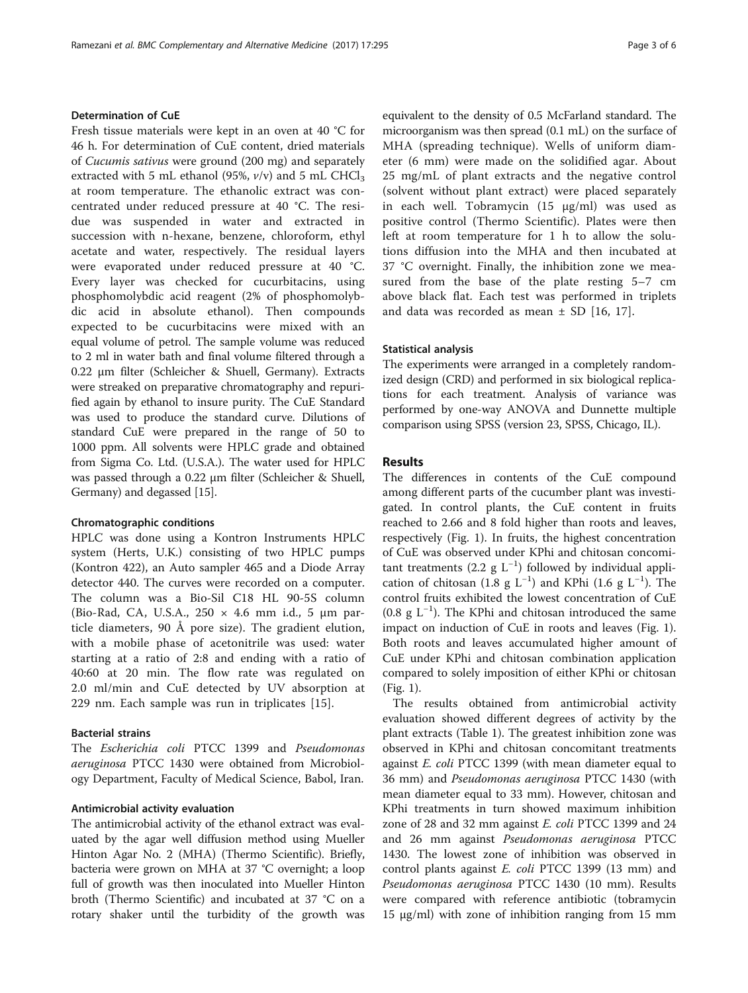### Determination of CuE

Fresh tissue materials were kept in an oven at 40 °C for 46 h. For determination of CuE content, dried materials of Cucumis sativus were ground (200 mg) and separately extracted with 5 mL ethanol (95%,  $v/v$ ) and 5 mL CHCl<sub>3</sub> at room temperature. The ethanolic extract was concentrated under reduced pressure at 40 °C. The residue was suspended in water and extracted in succession with n-hexane, benzene, chloroform, ethyl acetate and water, respectively. The residual layers were evaporated under reduced pressure at 40 °C. Every layer was checked for cucurbitacins, using phosphomolybdic acid reagent (2% of phosphomolybdic acid in absolute ethanol). Then compounds expected to be cucurbitacins were mixed with an equal volume of petrol. The sample volume was reduced to 2 ml in water bath and final volume filtered through a 0.22 μm filter (Schleicher & Shuell, Germany). Extracts were streaked on preparative chromatography and repurified again by ethanol to insure purity. The CuE Standard was used to produce the standard curve. Dilutions of standard CuE were prepared in the range of 50 to 1000 ppm. All solvents were HPLC grade and obtained from Sigma Co. Ltd. (U.S.A.). The water used for HPLC was passed through a 0.22 μm filter (Schleicher & Shuell, Germany) and degassed [[15\]](#page-4-0).

#### Chromatographic conditions

HPLC was done using a Kontron Instruments HPLC system (Herts, U.K.) consisting of two HPLC pumps (Kontron 422), an Auto sampler 465 and a Diode Array detector 440. The curves were recorded on a computer. The column was a Bio-Sil C18 HL 90-5S column (Bio-Rad, CA, U.S.A., 250 × 4.6 mm i.d., 5 μm particle diameters, 90 Å pore size). The gradient elution, with a mobile phase of acetonitrile was used: water starting at a ratio of 2:8 and ending with a ratio of 40:60 at 20 min. The flow rate was regulated on 2.0 ml/min and CuE detected by UV absorption at 229 nm. Each sample was run in triplicates [[15\]](#page-4-0).

### Bacterial strains

The Escherichia coli PTCC 1399 and Pseudomonas aeruginosa PTCC 1430 were obtained from Microbiology Department, Faculty of Medical Science, Babol, Iran.

### Antimicrobial activity evaluation

The antimicrobial activity of the ethanol extract was evaluated by the agar well diffusion method using Mueller Hinton Agar No. 2 (MHA) (Thermo Scientific). Briefly, bacteria were grown on MHA at 37 °C overnight; a loop full of growth was then inoculated into Mueller Hinton broth (Thermo Scientific) and incubated at 37 °C on a rotary shaker until the turbidity of the growth was

equivalent to the density of 0.5 McFarland standard. The microorganism was then spread (0.1 mL) on the surface of MHA (spreading technique). Wells of uniform diameter (6 mm) were made on the solidified agar. About 25 mg/mL of plant extracts and the negative control (solvent without plant extract) were placed separately in each well. Tobramycin (15 μg/ml) was used as positive control (Thermo Scientific). Plates were then left at room temperature for 1 h to allow the solutions diffusion into the MHA and then incubated at 37 °C overnight. Finally, the inhibition zone we measured from the base of the plate resting 5–7 cm above black flat. Each test was performed in triplets and data was recorded as mean  $\pm$  SD [[16, 17](#page-4-0)].

### Statistical analysis

The experiments were arranged in a completely randomized design (CRD) and performed in six biological replications for each treatment. Analysis of variance was performed by one-way ANOVA and Dunnette multiple comparison using SPSS (version 23, SPSS, Chicago, IL).

### Results

The differences in contents of the CuE compound among different parts of the cucumber plant was investigated. In control plants, the CuE content in fruits reached to 2.66 and 8 fold higher than roots and leaves, respectively (Fig. [1\)](#page-3-0). In fruits, the highest concentration of CuE was observed under KPhi and chitosan concomitant treatments (2.2  $g L^{-1}$ ) followed by individual application of chitosan (1.8 g L<sup>-1</sup>) and KPhi (1.6 g L<sup>-1</sup>). The control fruits exhibited the lowest concentration of CuE (0.8 g L−<sup>1</sup> ). The KPhi and chitosan introduced the same impact on induction of CuE in roots and leaves (Fig. [1](#page-3-0)). Both roots and leaves accumulated higher amount of CuE under KPhi and chitosan combination application compared to solely imposition of either KPhi or chitosan (Fig. [1](#page-3-0)).

The results obtained from antimicrobial activity evaluation showed different degrees of activity by the plant extracts (Table [1\)](#page-3-0). The greatest inhibition zone was observed in KPhi and chitosan concomitant treatments against *E. coli* PTCC 1399 (with mean diameter equal to 36 mm) and Pseudomonas aeruginosa PTCC 1430 (with mean diameter equal to 33 mm). However, chitosan and KPhi treatments in turn showed maximum inhibition zone of 28 and 32 mm against *E. coli* PTCC 1399 and 24 and 26 mm against Pseudomonas aeruginosa PTCC 1430. The lowest zone of inhibition was observed in control plants against E. coli PTCC 1399 (13 mm) and Pseudomonas aeruginosa PTCC 1430 (10 mm). Results were compared with reference antibiotic (tobramycin 15 μg/ml) with zone of inhibition ranging from 15 mm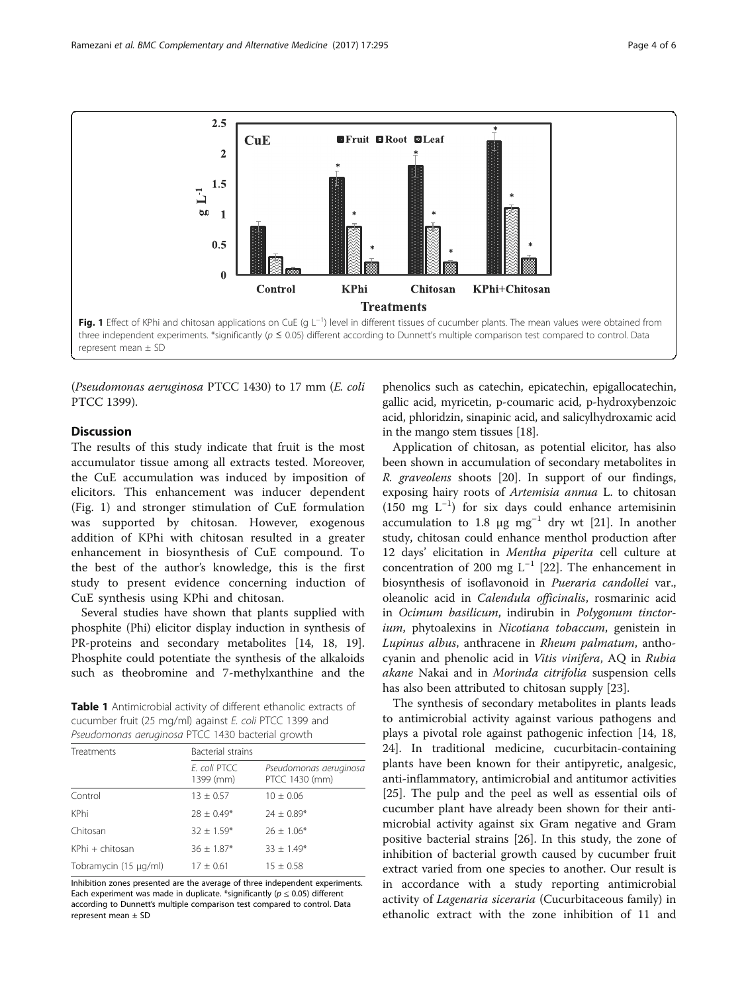<span id="page-3-0"></span>

(Pseudomonas aeruginosa PTCC 1430) to 17 mm (E. coli PTCC 1399).

### **Discussion**

The results of this study indicate that fruit is the most accumulator tissue among all extracts tested. Moreover, the CuE accumulation was induced by imposition of elicitors. This enhancement was inducer dependent (Fig. 1) and stronger stimulation of CuE formulation was supported by chitosan. However, exogenous addition of KPhi with chitosan resulted in a greater enhancement in biosynthesis of CuE compound. To the best of the author's knowledge, this is the first study to present evidence concerning induction of CuE synthesis using KPhi and chitosan.

Several studies have shown that plants supplied with phosphite (Phi) elicitor display induction in synthesis of PR-proteins and secondary metabolites [[14, 18, 19](#page-4-0)]. Phosphite could potentiate the synthesis of the alkaloids such as theobromine and 7-methylxanthine and the

Table 1 Antimicrobial activity of different ethanolic extracts of cucumber fruit (25 mg/ml) against E. coli PTCC 1399 and Pseudomonas aeruginosa PTCC 1430 bacterial growth

| Treatments            | Bacterial strains         |                                          |
|-----------------------|---------------------------|------------------------------------------|
|                       | F. coli PTCC<br>1399 (mm) | Pseudomonas aeruginosa<br>PTCC 1430 (mm) |
| Control               | $13 \pm 0.57$             | $10 \pm 0.06$                            |
| KPhi                  | $78 + 0.49*$              | $24 \pm 0.89*$                           |
| Chitosan              | $32 \pm 1.59*$            | $76 + 1.06*$                             |
| KPhi + chitosan       | $36 \pm 1.87*$            | $33 \pm 1.49*$                           |
| Tobramycin (15 µg/ml) | $17 \pm 0.61$             | $15 \pm 0.58$                            |

Inhibition zones presented are the average of three independent experiments. Each experiment was made in duplicate. \*significantly ( $p \le 0.05$ ) different according to Dunnett's multiple comparison test compared to control. Data represent mean ± SD

phenolics such as catechin, epicatechin, epigallocatechin, gallic acid, myricetin, p-coumaric acid, p-hydroxybenzoic acid, phloridzin, sinapinic acid, and salicylhydroxamic acid in the mango stem tissues [\[18\]](#page-4-0).

Application of chitosan, as potential elicitor, has also been shown in accumulation of secondary metabolites in R. graveolens shoots [[20\]](#page-4-0). In support of our findings, exposing hairy roots of Artemisia annua L. to chitosan (150 mg L−<sup>1</sup> ) for six days could enhance artemisinin accumulation to 1.8 μg  $mg^{-1}$  dry wt [\[21\]](#page-4-0). In another study, chitosan could enhance menthol production after 12 days' elicitation in Mentha piperita cell culture at concentration of 200 mg  $L^{-1}$  [[22\]](#page-5-0). The enhancement in biosynthesis of isoflavonoid in Pueraria candollei var., oleanolic acid in Calendula officinalis, rosmarinic acid in Ocimum basilicum, indirubin in Polygonum tinctorium, phytoalexins in Nicotiana tobaccum, genistein in Lupinus albus, anthracene in Rheum palmatum, anthocyanin and phenolic acid in Vitis vinifera, AQ in Rubia akane Nakai and in Morinda citrifolia suspension cells has also been attributed to chitosan supply [\[23](#page-5-0)].

The synthesis of secondary metabolites in plants leads to antimicrobial activity against various pathogens and plays a pivotal role against pathogenic infection [[14, 18](#page-4-0), [24\]](#page-5-0). In traditional medicine, cucurbitacin-containing plants have been known for their antipyretic, analgesic, anti-inflammatory, antimicrobial and antitumor activities [[25\]](#page-5-0). The pulp and the peel as well as essential oils of cucumber plant have already been shown for their antimicrobial activity against six Gram negative and Gram positive bacterial strains [\[26](#page-5-0)]. In this study, the zone of inhibition of bacterial growth caused by cucumber fruit extract varied from one species to another. Our result is in accordance with a study reporting antimicrobial activity of Lagenaria siceraria (Cucurbitaceous family) in ethanolic extract with the zone inhibition of 11 and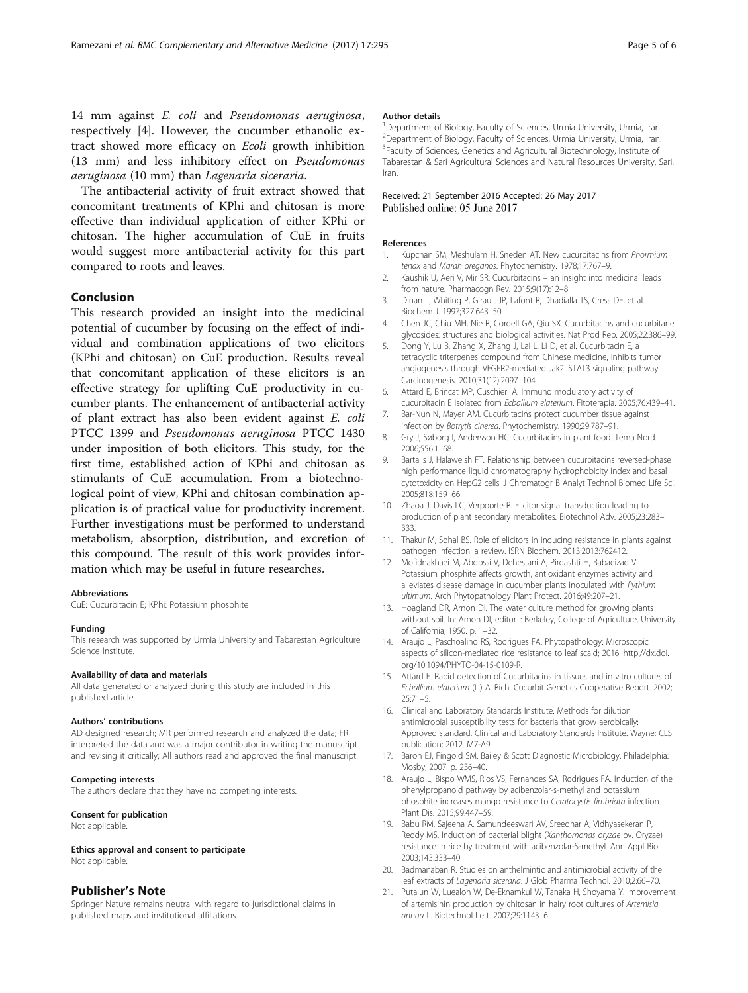<span id="page-4-0"></span>14 mm against E. coli and Pseudomonas aeruginosa, respectively [4]. However, the cucumber ethanolic extract showed more efficacy on Ecoli growth inhibition (13 mm) and less inhibitory effect on Pseudomonas aeruginosa (10 mm) than Lagenaria siceraria.

The antibacterial activity of fruit extract showed that concomitant treatments of KPhi and chitosan is more effective than individual application of either KPhi or chitosan. The higher accumulation of CuE in fruits would suggest more antibacterial activity for this part compared to roots and leaves.

### Conclusion

This research provided an insight into the medicinal potential of cucumber by focusing on the effect of individual and combination applications of two elicitors (KPhi and chitosan) on CuE production. Results reveal that concomitant application of these elicitors is an effective strategy for uplifting CuE productivity in cucumber plants. The enhancement of antibacterial activity of plant extract has also been evident against E. coli PTCC 1399 and Pseudomonas aeruginosa PTCC 1430 under imposition of both elicitors. This study, for the first time, established action of KPhi and chitosan as stimulants of CuE accumulation. From a biotechnological point of view, KPhi and chitosan combination application is of practical value for productivity increment. Further investigations must be performed to understand metabolism, absorption, distribution, and excretion of this compound. The result of this work provides information which may be useful in future researches.

#### Abbreviations

CuE: Cucurbitacin E; KPhi: Potassium phosphite

#### Funding

This research was supported by Urmia University and Tabarestan Agriculture Science Institute.

#### Availability of data and materials

All data generated or analyzed during this study are included in this published article.

#### Authors' contributions

AD designed research; MR performed research and analyzed the data; FR interpreted the data and was a major contributor in writing the manuscript and revising it critically; All authors read and approved the final manuscript.

#### Competing interests

The authors declare that they have no competing interests.

#### Consent for publication

Not applicable.

#### Ethics approval and consent to participate Not applicable.

#### Publisher's Note

Springer Nature remains neutral with regard to jurisdictional claims in published maps and institutional affiliations.

#### Author details

<sup>1</sup> Department of Biology, Faculty of Sciences, Urmia University, Urmia, Iran. <sup>2</sup> Department of Biology, Faculty of Sciences, Urmia University, Urmia, Iran. <sup>3</sup>Faculty of Sciences, Genetics and Agricultural Biotechnology, Institute of Tabarestan & Sari Agricultural Sciences and Natural Resources University, Sari, Iran.

#### Received: 21 September 2016 Accepted: 26 May 2017 Published online: 05 June 2017

#### References

- 1. Kupchan SM, Meshulam H, Sneden AT. New cucurbitacins from Phormium tenax and Marah oreganos. Phytochemistry. 1978;17:767–9.
- 2. Kaushik U, Aeri V, Mir SR. Cucurbitacins an insight into medicinal leads from nature. Pharmacogn Rev. 2015;9(17):12–8.
- 3. Dinan L, Whiting P, Girault JP, Lafont R, Dhadialla TS, Cress DE, et al. Biochem J. 1997;327:643–50.
- 4. Chen JC, Chiu MH, Nie R, Cordell GA, Qiu SX. Cucurbitacins and cucurbitane glycosides: structures and biological activities. Nat Prod Rep. 2005;22:386–99.
- 5. Dong Y, Lu B, Zhang X, Zhang J, Lai L, Li D, et al. Cucurbitacin E, a tetracyclic triterpenes compound from Chinese medicine, inhibits tumor angiogenesis through VEGFR2-mediated Jak2–STAT3 signaling pathway. Carcinogenesis. 2010;31(12):2097–104.
- 6. Attard E, Brincat MP, Cuschieri A. Immuno modulatory activity of cucurbitacin E isolated from Ecballium elaterium. Fitoterapia. 2005;76:439–41.
- 7. Bar-Nun N, Mayer AM. Cucurbitacins protect cucumber tissue against infection by Botrytis cinerea. Phytochemistry. 1990;29:787–91.
- 8. Gry J, Søborg I, Andersson HC. Cucurbitacins in plant food. Tema Nord. 2006;556:1–68.
- 9. Bartalis J, Halaweish FT. Relationship between cucurbitacins reversed-phase high performance liquid chromatography hydrophobicity index and basal cytotoxicity on HepG2 cells. J Chromatogr B Analyt Technol Biomed Life Sci. 2005;818:159–66.
- 10. Zhaoa J, Davis LC, Verpoorte R. Elicitor signal transduction leading to production of plant secondary metabolites. Biotechnol Adv. 2005;23:283– 333.
- 11. Thakur M, Sohal BS. Role of elicitors in inducing resistance in plants against pathogen infection: a review. ISRN Biochem. 2013;2013:762412.
- 12. Mofidnakhaei M, Abdossi V, Dehestani A, Pirdashti H, Babaeizad V. Potassium phosphite affects growth, antioxidant enzymes activity and alleviates disease damage in cucumber plants inoculated with Pythium ultimum. Arch Phytopathology Plant Protect. 2016;49:207–21.
- 13. Hoagland DR, Arnon DI. The water culture method for growing plants without soil. In: Arnon DI, editor. : Berkeley, College of Agriculture, University of California; 1950. p. 1–32.
- 14. Araujo L, Paschoalino RS, Rodrigues FA. Phytopathology: Microscopic aspects of silicon-mediated rice resistance to leaf scald; 2016. [http://dx.doi.](http://dx.doi.org/10.1094/PHYTO-04-15-0109-R) [org/10.1094/PHYTO-04-15-0109-R.](http://dx.doi.org/10.1094/PHYTO-04-15-0109-R)
- 15. Attard E. Rapid detection of Cucurbitacins in tissues and in vitro cultures of Ecballium elaterium (L.) A. Rich. Cucurbit Genetics Cooperative Report. 2002; 25:71–5.
- 16. Clinical and Laboratory Standards Institute. Methods for dilution antimicrobial susceptibility tests for bacteria that grow aerobically: Approved standard. Clinical and Laboratory Standards Institute. Wayne: CLSI publication; 2012. M7-A9.
- 17. Baron EJ, Fingold SM. Bailey & Scott Diagnostic Microbiology. Philadelphia: Mosby; 2007. p. 236–40.
- 18. Araujo L, Bispo WMS, Rios VS, Fernandes SA, Rodrigues FA. Induction of the phenylpropanoid pathway by acibenzolar-s-methyl and potassium phosphite increases mango resistance to Ceratocystis fimbriata infection. Plant Dis. 2015;99:447–59.
- 19. Babu RM, Sajeena A, Samundeeswari AV, Sreedhar A, Vidhyasekeran P, Reddy MS. Induction of bacterial blight (Xanthomonas oryzae pv. Oryzae) resistance in rice by treatment with acibenzolar-S-methyl. Ann Appl Biol. 2003;143:333–40.
- 20. Badmanaban R. Studies on anthelmintic and antimicrobial activity of the leaf extracts of Lagenaria siceraria. J Glob Pharma Technol. 2010;2:66–70.
- 21. Putalun W, Luealon W, De-Eknamkul W, Tanaka H, Shoyama Y. Improvement of artemisinin production by chitosan in hairy root cultures of Artemisia annua L. Biotechnol Lett. 2007;29:1143–6.